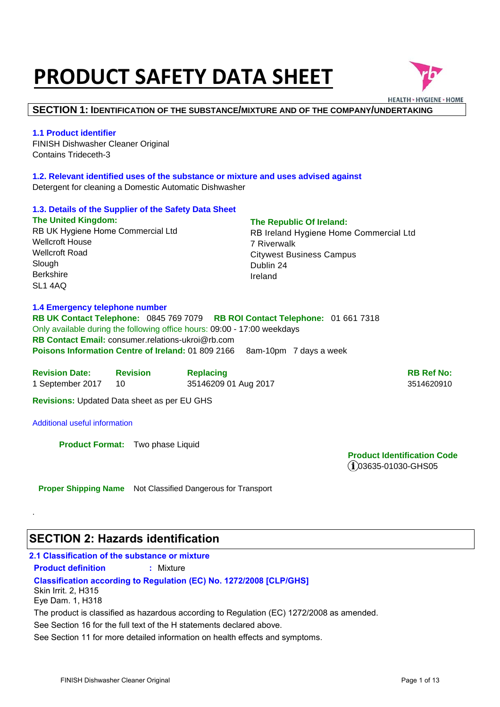# **PRODUCT SAFETY DATA SHEET**



### **SECTION 1: IDENTIFICATION OF THE SUBSTANCE/MIXTURE AND OF THE COMPANY/UNDERTAKING**

### **1.1 Product identifier**

FINISH Dishwasher Cleaner Original Contains Trideceth-3

**1.2. Relevant identified uses of the substance or mixture and uses advised against**  Detergent for cleaning a Domestic Automatic Dishwasher

### **1.3. Details of the Supplier of the Safety Data Sheet The United Kingdom:**  RB UK Hygiene Home Commercial Ltd Wellcroft House Wellcroft Road **Slough** Berkshire SL1 4AQ **The Republic Of Ireland:**  RB Ireland Hygiene Home Commercial Ltd 7 Riverwalk Citywest Business Campus Dublin 24 Ireland

### **1.4 Emergency telephone number**

**RB UK Contact Telephone:** 0845 769 7079 **RB ROI Contact Telephone:** 01 661 7318 Only available during the following office hours: 09:00 - 17:00 weekdays **RB Contact Email:** consumer.relations-ukroi@rb.com **Poisons Information Centre of Ireland: 01 809 2166 8am-10pm 7 days a week** 

| <b>Revision Date:</b> | <b>Revision</b> | <b>Replacing</b>     | <b>RB Ref No:</b> |
|-----------------------|-----------------|----------------------|-------------------|
| 1 September 2017      |                 | 35146209 01 Aug 2017 | 3514620910        |

**Revisions:** Updated Data sheet as per EU GHS

### Additional useful information

.

**Product Format:** Two phase Liquid

**Product Identification Code**   $(i)$ 03635-01030-GHS05

**Proper Shipping Name** Not Classified Dangerous for Transport

### **SECTION 2: Hazards identification**

| 2.1 Classification of the substance or mixture |                                                                                           |
|------------------------------------------------|-------------------------------------------------------------------------------------------|
| <b>Product definition</b>                      | : Mixture                                                                                 |
|                                                | <b>Classification according to Regulation (EC) No. 1272/2008 [CLP/GHS]</b>                |
| Skin Irrit. 2, H315                            |                                                                                           |
| Eye Dam. 1, H318                               |                                                                                           |
|                                                | The product is classified as hazardous according to Regulation (EC) 1272/2008 as amended. |
|                                                | See Section 16 for the full text of the H statements declared above.                      |
|                                                | See Section 11 for more detailed information on health effects and symptoms.              |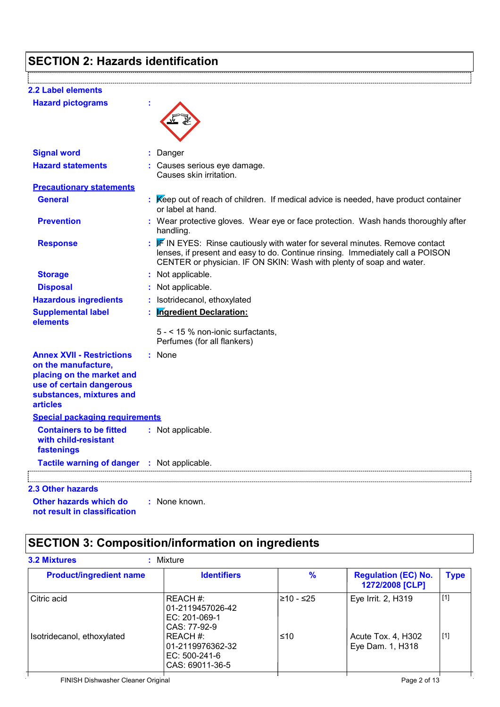## **SECTION 2: Hazards identification**

| <b>2.2 Label elements</b>                                                                                                                                       |                                                                                                                                                                                                                                       |
|-----------------------------------------------------------------------------------------------------------------------------------------------------------------|---------------------------------------------------------------------------------------------------------------------------------------------------------------------------------------------------------------------------------------|
| <b>Hazard pictograms</b>                                                                                                                                        |                                                                                                                                                                                                                                       |
|                                                                                                                                                                 |                                                                                                                                                                                                                                       |
|                                                                                                                                                                 |                                                                                                                                                                                                                                       |
| <b>Signal word</b>                                                                                                                                              | Danger                                                                                                                                                                                                                                |
| <b>Hazard statements</b>                                                                                                                                        | : Causes serious eye damage.<br>Causes skin irritation.                                                                                                                                                                               |
| <b>Precautionary statements</b>                                                                                                                                 |                                                                                                                                                                                                                                       |
| <b>General</b>                                                                                                                                                  | Keep out of reach of children. If medical advice is needed, have product container<br>or label at hand.                                                                                                                               |
| <b>Prevention</b>                                                                                                                                               | : Wear protective gloves. Wear eye or face protection. Wash hands thoroughly after<br>handling.                                                                                                                                       |
| <b>Response</b>                                                                                                                                                 | IF IN EYES: Rinse cautiously with water for several minutes. Remove contact<br>lenses, if present and easy to do. Continue rinsing. Immediately call a POISON<br>CENTER or physician. IF ON SKIN: Wash with plenty of soap and water. |
| <b>Storage</b>                                                                                                                                                  | : Not applicable.                                                                                                                                                                                                                     |
| <b>Disposal</b>                                                                                                                                                 | : Not applicable.                                                                                                                                                                                                                     |
| <b>Hazardous ingredients</b>                                                                                                                                    | : Isotridecanol, ethoxylated                                                                                                                                                                                                          |
| <b>Supplemental label</b><br>elements                                                                                                                           | <b>Ingredient Declaration:</b>                                                                                                                                                                                                        |
|                                                                                                                                                                 | 5 - < 15 % non-ionic surfactants,<br>Perfumes (for all flankers)                                                                                                                                                                      |
| <b>Annex XVII - Restrictions</b><br>on the manufacture,<br>placing on the market and<br>use of certain dangerous<br>substances, mixtures and<br><b>articles</b> | : None                                                                                                                                                                                                                                |
| <b>Special packaging requirements</b>                                                                                                                           |                                                                                                                                                                                                                                       |
| <b>Containers to be fitted</b><br>with child-resistant<br>fastenings                                                                                            | : Not applicable.                                                                                                                                                                                                                     |
| Tactile warning of danger : Not applicable.                                                                                                                     |                                                                                                                                                                                                                                       |
| <b>2.3 Other hazards</b>                                                                                                                                        |                                                                                                                                                                                                                                       |
| Other hazards which do<br>not result in classification                                                                                                          | : None known.                                                                                                                                                                                                                         |

## **SECTION 3: Composition/information on ingredients**

| <b>Product/ingredient name</b>     | <b>Identifiers</b>                                               | $\%$      | <b>Regulation (EC) No.</b><br>1272/2008 [CLP] | <b>Type</b> |
|------------------------------------|------------------------------------------------------------------|-----------|-----------------------------------------------|-------------|
| Citric acid                        | REACH #:<br>01-2119457026-42<br>EC: 201-069-1<br>CAS: 77-92-9    | ≥10 - ≤25 | Eye Irrit. 2, H319                            | [1]         |
| Isotridecanol, ethoxylated         | REACH #:<br>01-2119976362-32<br>EC: 500-241-6<br>CAS: 69011-36-5 | ≤10       | Acute Tox. 4, H302<br>Eye Dam. 1, H318        | [1]         |
| FINISH Dishwasher Cleaner Original |                                                                  |           | Page 2 of 13                                  |             |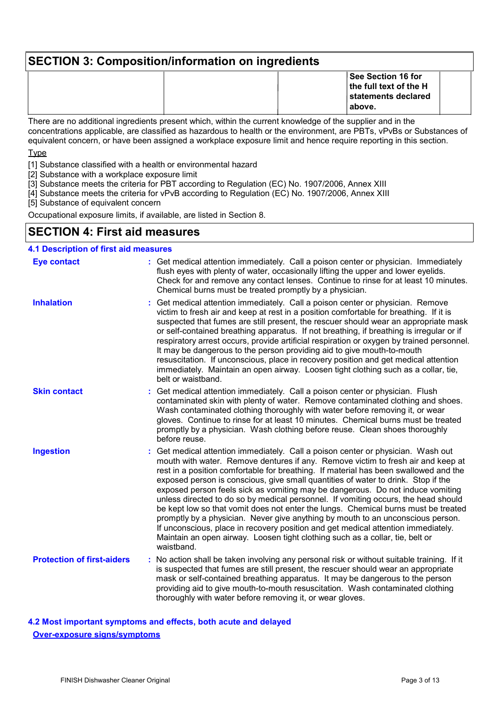## **SECTION 3: Composition/information on ingredients See Section 16 for the full text of the H statements declared above.**

There are no additional ingredients present which, within the current knowledge of the supplier and in the concentrations applicable, are classified as hazardous to health or the environment, are PBTs, vPvBs or Substances of equivalent concern, or have been assigned a workplace exposure limit and hence require reporting in this section.

Type

[1] Substance classified with a health or environmental hazard

[2] Substance with a workplace exposure limit

[3] Substance meets the criteria for PBT according to Regulation (EC) No. 1907/2006, Annex XIII

- [4] Substance meets the criteria for vPvB according to Regulation (EC) No. 1907/2006, Annex XIII
- [5] Substance of equivalent concern

Occupational exposure limits, if available, are listed in Section 8.

### **SECTION 4: First aid measures**

### **4.1 Description of first aid measures**

| <b>Eye contact</b>                | : Get medical attention immediately. Call a poison center or physician. Immediately<br>flush eyes with plenty of water, occasionally lifting the upper and lower eyelids.<br>Check for and remove any contact lenses. Continue to rinse for at least 10 minutes.<br>Chemical burns must be treated promptly by a physician.                                                                                                                                                                                                                                                                                                                                                                                                                                                                                                                                                          |
|-----------------------------------|--------------------------------------------------------------------------------------------------------------------------------------------------------------------------------------------------------------------------------------------------------------------------------------------------------------------------------------------------------------------------------------------------------------------------------------------------------------------------------------------------------------------------------------------------------------------------------------------------------------------------------------------------------------------------------------------------------------------------------------------------------------------------------------------------------------------------------------------------------------------------------------|
| <b>Inhalation</b>                 | Get medical attention immediately. Call a poison center or physician. Remove<br>victim to fresh air and keep at rest in a position comfortable for breathing. If it is<br>suspected that fumes are still present, the rescuer should wear an appropriate mask<br>or self-contained breathing apparatus. If not breathing, if breathing is irregular or if<br>respiratory arrest occurs, provide artificial respiration or oxygen by trained personnel.<br>It may be dangerous to the person providing aid to give mouth-to-mouth<br>resuscitation. If unconscious, place in recovery position and get medical attention<br>immediately. Maintain an open airway. Loosen tight clothing such as a collar, tie,<br>belt or waistband.                                                                                                                                                  |
| <b>Skin contact</b>               | Get medical attention immediately. Call a poison center or physician. Flush<br>contaminated skin with plenty of water. Remove contaminated clothing and shoes.<br>Wash contaminated clothing thoroughly with water before removing it, or wear<br>gloves. Continue to rinse for at least 10 minutes. Chemical burns must be treated<br>promptly by a physician. Wash clothing before reuse. Clean shoes thoroughly<br>before reuse.                                                                                                                                                                                                                                                                                                                                                                                                                                                  |
| <b>Ingestion</b>                  | Get medical attention immediately. Call a poison center or physician. Wash out<br>mouth with water. Remove dentures if any. Remove victim to fresh air and keep at<br>rest in a position comfortable for breathing. If material has been swallowed and the<br>exposed person is conscious, give small quantities of water to drink. Stop if the<br>exposed person feels sick as vomiting may be dangerous. Do not induce vomiting<br>unless directed to do so by medical personnel. If vomiting occurs, the head should<br>be kept low so that vomit does not enter the lungs. Chemical burns must be treated<br>promptly by a physician. Never give anything by mouth to an unconscious person.<br>If unconscious, place in recovery position and get medical attention immediately.<br>Maintain an open airway. Loosen tight clothing such as a collar, tie, belt or<br>waistband. |
| <b>Protection of first-aiders</b> | : No action shall be taken involving any personal risk or without suitable training. If it<br>is suspected that fumes are still present, the rescuer should wear an appropriate<br>mask or self-contained breathing apparatus. It may be dangerous to the person<br>providing aid to give mouth-to-mouth resuscitation. Wash contaminated clothing<br>thoroughly with water before removing it, or wear gloves.                                                                                                                                                                                                                                                                                                                                                                                                                                                                      |

**4.2 Most important symptoms and effects, both acute and delayed Over-exposure signs/symptoms**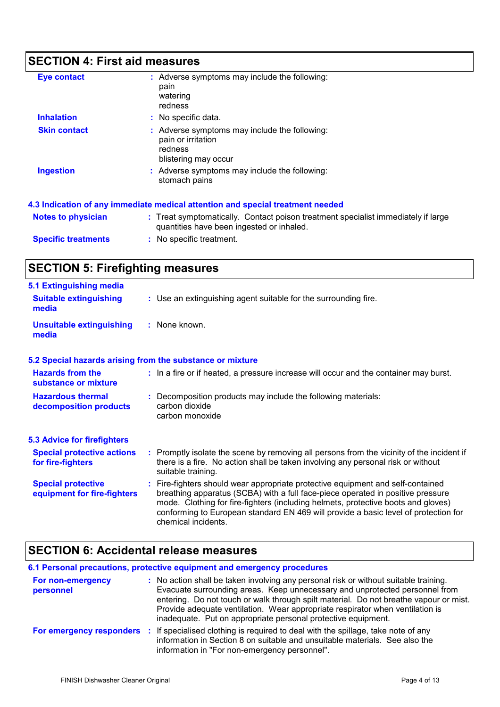## **SECTION 4: First aid measures**

| <b>Eye contact</b>         | : Adverse symptoms may include the following:<br>pain<br>watering<br>redness                                                   |
|----------------------------|--------------------------------------------------------------------------------------------------------------------------------|
| <b>Inhalation</b>          | : No specific data.                                                                                                            |
| <b>Skin contact</b>        | : Adverse symptoms may include the following:<br>pain or irritation<br>redness<br>blistering may occur                         |
| <b>Ingestion</b>           | : Adverse symptoms may include the following:<br>stomach pains                                                                 |
|                            | 4.3 Indication of any immediate medical attention and special treatment needed                                                 |
| <b>Notes to physician</b>  | : Treat symptomatically. Contact poison treatment specialist immediately if large<br>quantities have been ingested or inhaled. |
| <b>Specific treatments</b> | : No specific treatment.                                                                                                       |

## **SECTION 5: Firefighting measures**

| <b>5.1 Extinguishing media</b>                           |                                                                                                                                                                                                                                                                                                                                                                       |
|----------------------------------------------------------|-----------------------------------------------------------------------------------------------------------------------------------------------------------------------------------------------------------------------------------------------------------------------------------------------------------------------------------------------------------------------|
| <b>Suitable extinguishing</b><br>media                   | : Use an extinguishing agent suitable for the surrounding fire.                                                                                                                                                                                                                                                                                                       |
| <b>Unsuitable extinguishing</b><br>media                 | : None known.                                                                                                                                                                                                                                                                                                                                                         |
|                                                          | 5.2 Special hazards arising from the substance or mixture                                                                                                                                                                                                                                                                                                             |
| <b>Hazards from the</b><br>substance or mixture          | : In a fire or if heated, a pressure increase will occur and the container may burst.                                                                                                                                                                                                                                                                                 |
| <b>Hazardous thermal</b><br>decomposition products       | : Decomposition products may include the following materials:<br>carbon dioxide<br>carbon monoxide                                                                                                                                                                                                                                                                    |
| <b>5.3 Advice for firefighters</b>                       |                                                                                                                                                                                                                                                                                                                                                                       |
| <b>Special protective actions</b><br>for fire-fighters   | : Promptly isolate the scene by removing all persons from the vicinity of the incident if<br>there is a fire. No action shall be taken involving any personal risk or without<br>suitable training.                                                                                                                                                                   |
| <b>Special protective</b><br>equipment for fire-fighters | : Fire-fighters should wear appropriate protective equipment and self-contained<br>breathing apparatus (SCBA) with a full face-piece operated in positive pressure<br>mode. Clothing for fire-fighters (including helmets, protective boots and gloves)<br>conforming to European standard EN 469 will provide a basic level of protection for<br>chemical incidents. |

## **SECTION 6: Accidental release measures**

|                                | 6.1 Personal precautions, protective equipment and emergency procedures                                                                                                                                                                                                                                                                                                                                        |
|--------------------------------|----------------------------------------------------------------------------------------------------------------------------------------------------------------------------------------------------------------------------------------------------------------------------------------------------------------------------------------------------------------------------------------------------------------|
| For non-emergency<br>personnel | : No action shall be taken involving any personal risk or without suitable training.<br>Evacuate surrounding areas. Keep unnecessary and unprotected personnel from<br>entering. Do not touch or walk through spilt material. Do not breathe vapour or mist.<br>Provide adequate ventilation. Wear appropriate respirator when ventilation is<br>inadequate. Put on appropriate personal protective equipment. |
| For emergency responders :     | If specialised clothing is required to deal with the spillage, take note of any<br>information in Section 8 on suitable and unsuitable materials. See also the<br>information in "For non-emergency personnel".                                                                                                                                                                                                |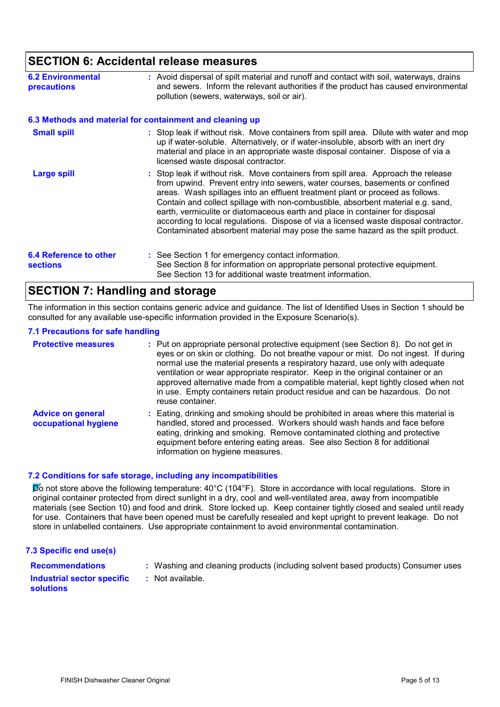### **SECTION 6: Accidental release measures**

| <b>6.2 Environmental</b><br>precautions          | : Avoid dispersal of spilt material and runoff and contact with soil, waterways, drains<br>and sewers. Inform the relevant authorities if the product has caused environmental<br>pollution (sewers, waterways, soil or air).                                                                                                                                                                                                                                                                                                                                                                     |
|--------------------------------------------------|---------------------------------------------------------------------------------------------------------------------------------------------------------------------------------------------------------------------------------------------------------------------------------------------------------------------------------------------------------------------------------------------------------------------------------------------------------------------------------------------------------------------------------------------------------------------------------------------------|
|                                                  | 6.3 Methods and material for containment and cleaning up                                                                                                                                                                                                                                                                                                                                                                                                                                                                                                                                          |
| <b>Small spill</b>                               | : Stop leak if without risk. Move containers from spill area. Dilute with water and mop<br>up if water-soluble. Alternatively, or if water-insoluble, absorb with an inert dry<br>material and place in an appropriate waste disposal container. Dispose of via a<br>licensed waste disposal contractor.                                                                                                                                                                                                                                                                                          |
| <b>Large spill</b>                               | : Stop leak if without risk. Move containers from spill area. Approach the release<br>from upwind. Prevent entry into sewers, water courses, basements or confined<br>areas. Wash spillages into an effluent treatment plant or proceed as follows.<br>Contain and collect spillage with non-combustible, absorbent material e.g. sand,<br>earth, vermiculite or diatomaceous earth and place in container for disposal<br>according to local regulations. Dispose of via a licensed waste disposal contractor.<br>Contaminated absorbent material may pose the same hazard as the spilt product. |
| <b>6.4 Reference to other</b><br><b>sections</b> | : See Section 1 for emergency contact information.<br>See Section 8 for information on appropriate personal protective equipment.<br>See Section 13 for additional waste treatment information.                                                                                                                                                                                                                                                                                                                                                                                                   |

### **SECTION 7: Handling and storage**

The information in this section contains generic advice and guidance. The list of Identified Uses in Section 1 should be consulted for any available use-specific information provided in the Exposure Scenario(s).

### **7.1 Precautions for safe handling**

| <b>Protective measures</b>                       | : Put on appropriate personal protective equipment (see Section 8). Do not get in<br>eyes or on skin or clothing. Do not breathe vapour or mist. Do not ingest. If during<br>normal use the material presents a respiratory hazard, use only with adequate<br>ventilation or wear appropriate respirator. Keep in the original container or an<br>approved alternative made from a compatible material, kept tightly closed when not<br>in use. Empty containers retain product residue and can be hazardous. Do not<br>reuse container. |
|--------------------------------------------------|------------------------------------------------------------------------------------------------------------------------------------------------------------------------------------------------------------------------------------------------------------------------------------------------------------------------------------------------------------------------------------------------------------------------------------------------------------------------------------------------------------------------------------------|
| <b>Advice on general</b><br>occupational hygiene | : Eating, drinking and smoking should be prohibited in areas where this material is<br>handled, stored and processed. Workers should wash hands and face before<br>eating, drinking and smoking. Remove contaminated clothing and protective<br>equipment before entering eating areas. See also Section 8 for additional<br>information on hygiene measures.                                                                                                                                                                            |

### **7.2 Conditions for safe storage, including any incompatibilities**

Do not store above the following temperature: 40°C (104°F). Store in accordance with local regulations. Store in original container protected from direct sunlight in a dry, cool and well-ventilated area, away from incompatible materials (see Section 10) and food and drink. Store locked up. Keep container tightly closed and sealed until ready for use. Containers that have been opened must be carefully resealed and kept upright to prevent leakage. Do not store in unlabelled containers. Use appropriate containment to avoid environmental contamination.

### **7.3 Specific end use(s)**

Washing and cleaning products (including solvent based products) Consumer uses

**Recommendations : Industrial sector specific : solutions**

: Not available.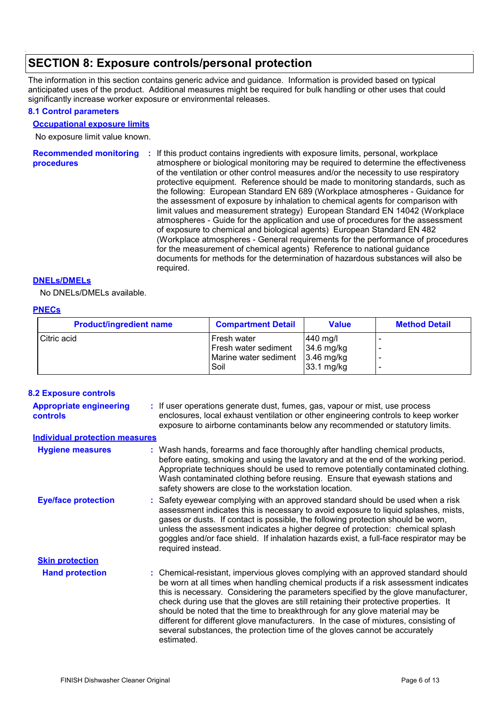## **SECTION 8: Exposure controls/personal protection**

The information in this section contains generic advice and guidance. Information is provided based on typical anticipated uses of the product. Additional measures might be required for bulk handling or other uses that could significantly increase worker exposure or environmental releases.

### **8.1 Control parameters**

### **Occupational exposure limits**

No exposure limit value known.

Recommended monitoring : If this product contains ingredients with exposure limits, personal, workplace **procedures** atmosphere or biological monitoring may be required to determine the effectiveness of the ventilation or other control measures and/or the necessity to use respiratory protective equipment. Reference should be made to monitoring standards, such as the following: European Standard EN 689 (Workplace atmospheres - Guidance for the assessment of exposure by inhalation to chemical agents for comparison with limit values and measurement strategy) European Standard EN 14042 (Workplace atmospheres - Guide for the application and use of procedures for the assessment of exposure to chemical and biological agents) European Standard EN 482 (Workplace atmospheres - General requirements for the performance of procedures for the measurement of chemical agents) Reference to national guidance documents for methods for the determination of hazardous substances will also be required.

### **DNELs/DMELs**

No DNELs/DMELs available.

### **PNECs**

| <b>Product/ingredient name</b> | <b>Compartment Detail</b>           | <b>Value</b>             | <b>Method Detail</b> |
|--------------------------------|-------------------------------------|--------------------------|----------------------|
| Citric acid                    | Fresh water<br>Fresh water sediment | 440 mg/l<br>$34.6$ mg/kg |                      |
|                                | Marine water sediment               | $3.46$ mg/kg             |                      |
|                                | Soil                                | $33.1 \text{ mg/kg}$     |                      |

### **8.2 Exposure controls**

| <b>Appropriate engineering</b><br><b>controls</b> | : If user operations generate dust, fumes, gas, vapour or mist, use process<br>enclosures, local exhaust ventilation or other engineering controls to keep worker<br>exposure to airborne contaminants below any recommended or statutory limits.                                                                                                                                                                                                                                                                                                                                                                         |
|---------------------------------------------------|---------------------------------------------------------------------------------------------------------------------------------------------------------------------------------------------------------------------------------------------------------------------------------------------------------------------------------------------------------------------------------------------------------------------------------------------------------------------------------------------------------------------------------------------------------------------------------------------------------------------------|
| <b>Individual protection measures</b>             |                                                                                                                                                                                                                                                                                                                                                                                                                                                                                                                                                                                                                           |
| <b>Hygiene measures</b>                           | : Wash hands, forearms and face thoroughly after handling chemical products,<br>before eating, smoking and using the lavatory and at the end of the working period.<br>Appropriate techniques should be used to remove potentially contaminated clothing.<br>Wash contaminated clothing before reusing. Ensure that eyewash stations and<br>safety showers are close to the workstation location.                                                                                                                                                                                                                         |
| <b>Eye/face protection</b>                        | : Safety eyewear complying with an approved standard should be used when a risk<br>assessment indicates this is necessary to avoid exposure to liquid splashes, mists,<br>gases or dusts. If contact is possible, the following protection should be worn,<br>unless the assessment indicates a higher degree of protection: chemical splash<br>goggles and/or face shield. If inhalation hazards exist, a full-face respirator may be<br>required instead.                                                                                                                                                               |
| <b>Skin protection</b>                            |                                                                                                                                                                                                                                                                                                                                                                                                                                                                                                                                                                                                                           |
| <b>Hand protection</b>                            | : Chemical-resistant, impervious gloves complying with an approved standard should<br>be worn at all times when handling chemical products if a risk assessment indicates<br>this is necessary. Considering the parameters specified by the glove manufacturer,<br>check during use that the gloves are still retaining their protective properties. It<br>should be noted that the time to breakthrough for any glove material may be<br>different for different glove manufacturers. In the case of mixtures, consisting of<br>several substances, the protection time of the gloves cannot be accurately<br>estimated. |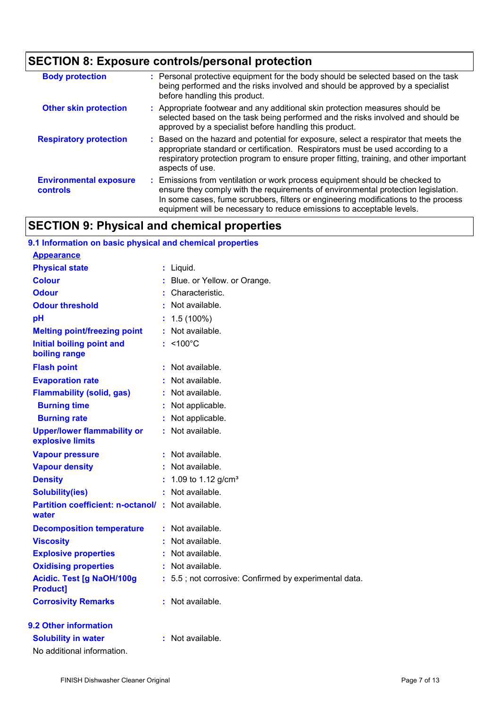## **SECTION 8: Exposure controls/personal protection**

| <b>Body protection</b>                    | : Personal protective equipment for the body should be selected based on the task<br>being performed and the risks involved and should be approved by a specialist<br>before handling this product.                                                                                                                             |
|-------------------------------------------|---------------------------------------------------------------------------------------------------------------------------------------------------------------------------------------------------------------------------------------------------------------------------------------------------------------------------------|
| <b>Other skin protection</b>              | : Appropriate footwear and any additional skin protection measures should be<br>selected based on the task being performed and the risks involved and should be<br>approved by a specialist before handling this product.                                                                                                       |
| <b>Respiratory protection</b>             | : Based on the hazard and potential for exposure, select a respirator that meets the<br>appropriate standard or certification. Respirators must be used according to a<br>respiratory protection program to ensure proper fitting, training, and other important<br>aspects of use.                                             |
| <b>Environmental exposure</b><br>controls | : Emissions from ventilation or work process equipment should be checked to<br>ensure they comply with the requirements of environmental protection legislation.<br>In some cases, fume scrubbers, filters or engineering modifications to the process<br>equipment will be necessary to reduce emissions to acceptable levels. |

## **SECTION 9: Physical and chemical properties**

| 9.1 Information on basic physical and chemical properties         |    |                                                       |
|-------------------------------------------------------------------|----|-------------------------------------------------------|
| <b>Appearance</b>                                                 |    |                                                       |
| <b>Physical state</b>                                             |    | : Liquid.                                             |
| <b>Colour</b>                                                     |    | : Blue. or Yellow. or Orange.                         |
| <b>Odour</b>                                                      |    | Characteristic.                                       |
| <b>Odour threshold</b>                                            |    | : Not available.                                      |
| pH                                                                |    | $: 1.5(100\%)$                                        |
| <b>Melting point/freezing point</b>                               |    | : Not available.                                      |
| <b>Initial boiling point and</b><br>boiling range                 |    | $:$ <100 $^{\circ}$ C                                 |
| <b>Flash point</b>                                                |    | $:$ Not available.                                    |
| <b>Evaporation rate</b>                                           | ÷. | Not available.                                        |
| <b>Flammability (solid, gas)</b>                                  |    | : Not available.                                      |
| <b>Burning time</b>                                               |    | : Not applicable.                                     |
| <b>Burning rate</b>                                               |    | Not applicable.                                       |
| <b>Upper/lower flammability or</b><br>explosive limits            |    | : Not available.                                      |
| <b>Vapour pressure</b>                                            |    | $:$ Not available.                                    |
| <b>Vapour density</b>                                             | t. | Not available.                                        |
| <b>Density</b>                                                    |    | 1.09 to 1.12 $g/cm^{3}$                               |
| <b>Solubility(ies)</b>                                            |    | : Not available.                                      |
| <b>Partition coefficient: n-octanol/: Not available.</b><br>water |    |                                                       |
| <b>Decomposition temperature</b>                                  |    | : Not available.                                      |
| <b>Viscosity</b>                                                  |    | : Not available.                                      |
| <b>Explosive properties</b>                                       |    | Not available.                                        |
| <b>Oxidising properties</b>                                       |    | : Not available.                                      |
| Acidic. Test [g NaOH/100g<br><b>Product1</b>                      |    | : 5.5; not corrosive: Confirmed by experimental data. |
| <b>Corrosivity Remarks</b>                                        |    | : Not available.                                      |
| 9.2 Other information                                             |    |                                                       |
| <b>Solubility in water</b>                                        |    | $:$ Not available.                                    |

No additional information.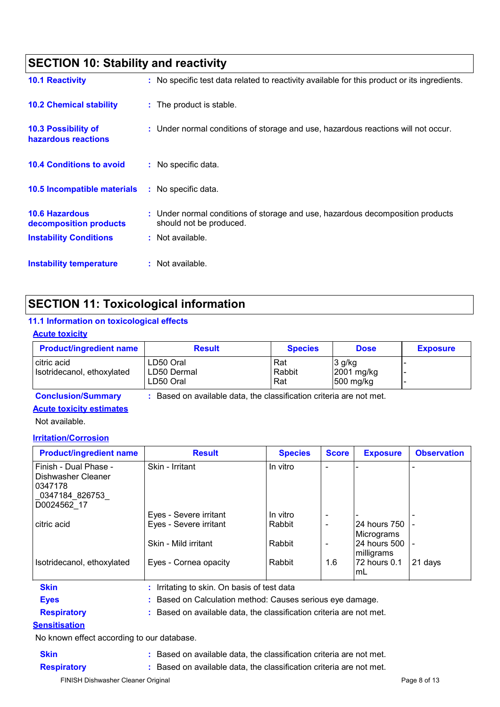| <b>SECTION 10: Stability and reactivity</b>       |                                                                                                           |  |
|---------------------------------------------------|-----------------------------------------------------------------------------------------------------------|--|
| <b>10.1 Reactivity</b>                            | : No specific test data related to reactivity available for this product or its ingredients.              |  |
| <b>10.2 Chemical stability</b>                    | : The product is stable.                                                                                  |  |
| <b>10.3 Possibility of</b><br>hazardous reactions | : Under normal conditions of storage and use, hazardous reactions will not occur.                         |  |
| <b>10.4 Conditions to avoid</b>                   | : No specific data.                                                                                       |  |
| 10.5 Incompatible materials                       | : No specific data.                                                                                       |  |
| <b>10.6 Hazardous</b><br>decomposition products   | : Under normal conditions of storage and use, hazardous decomposition products<br>should not be produced. |  |
| <b>Instability Conditions</b>                     | : Not available.                                                                                          |  |
| Instability temperature                           | : Not available.                                                                                          |  |

## **SECTION 11: Toxicological information**

### **11.1 Information on toxicological effects**

### **Acute toxicity**

| <b>Product/ingredient name</b>            | <b>Result</b>                         | <b>Species</b>       | <b>Dose</b>                       | <b>Exposure</b> |
|-------------------------------------------|---------------------------------------|----------------------|-----------------------------------|-----------------|
| citric acid<br>Isotridecanol, ethoxylated | ∟D50 Oral<br>LD50 Dermal<br>LD50 Oral | Rat<br>Rabbit<br>Rat | 3 g/kg<br>2001 mg/kg<br>500 mg/kg |                 |

## **Acute toxicity estimates**

**Conclusion/Summary :** Based on available data, the classification criteria are not met.

### Not available.

### **Irritation/Corrosion**

| <b>Product/ingredient name</b>                                                                          | <b>Result</b>                             | <b>Species</b> | <b>Score</b>             | <b>Exposure</b>                | <b>Observation</b> |
|---------------------------------------------------------------------------------------------------------|-------------------------------------------|----------------|--------------------------|--------------------------------|--------------------|
| Finish - Dual Phase -<br>l Dishwasher Cleaner<br>  0347178<br>$\lfloor$ _0347184_826753_<br>D0024562_17 | Skin - Irritant                           | In vitro       |                          |                                |                    |
|                                                                                                         | Eyes - Severe irritant                    | In vitro       |                          |                                |                    |
| citric acid                                                                                             | Eyes - Severe irritant                    | Rabbit         | $\overline{\phantom{0}}$ | 24 hours 750   -<br>Micrograms |                    |
|                                                                                                         | Skin - Mild irritant                      | Rabbit         |                          | 24 hours 500   -<br>milligrams |                    |
| Isotridecanol, ethoxylated                                                                              | Eyes - Cornea opacity                     | Rabbit         | 1.6                      | 72 hours 0.1<br>ImL            | 21 days            |
| <b>Skin</b>                                                                                             | Irritating to skin. On basis of test data |                |                          |                                |                    |

**Eyes :** Based on Calculation method: Causes serious eye damage.

**Respiratory :** Based on available data, the classification criteria are not met.

### **Sensitisation**

No known effect according to our database.

**Skin :** Based on available data, the classification criteria are not met. **Respiratory :** Based on available data, the classification criteria are not met.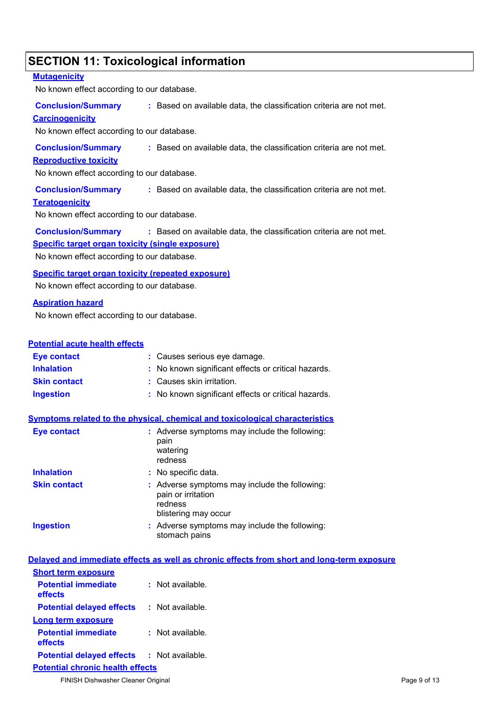## **SECTION 11: Toxicological information**

### **Mutagenicity**

No known effect according to our database.

**Conclusion/Summary :** Based on available data, the classification criteria are not met.

### **Carcinogenicity**

No known effect according to our database.

**Conclusion/Summary :** Based on available data, the classification criteria are not met.

### **Reproductive toxicity**

No known effect according to our database.

**Conclusion/Summary :** Based on available data, the classification criteria are not met.

### **Teratogenicity**

No known effect according to our database.

**Conclusion/Summary :** Based on available data, the classification criteria are not met.

### **Specific target organ toxicity (single exposure)**

No known effect according to our database.

**Specific target organ toxicity (repeated exposure)**

No known effect according to our database.

### **Aspiration hazard**

No known effect according to our database.

### **Potential acute health effects**

| Eye contact         | : Causes serious eye damage.                        |
|---------------------|-----------------------------------------------------|
| <b>Inhalation</b>   | : No known significant effects or critical hazards. |
| <b>Skin contact</b> | : Causes skin irritation.                           |
| <b>Ingestion</b>    | : No known significant effects or critical hazards. |

### **Symptoms related to the physical, chemical and toxicological characteristics**

| <b>Eye contact</b>  | : Adverse symptoms may include the following:<br>pain<br>watering<br>redness                           |
|---------------------|--------------------------------------------------------------------------------------------------------|
| <b>Inhalation</b>   | : No specific data.                                                                                    |
| <b>Skin contact</b> | : Adverse symptoms may include the following:<br>pain or irritation<br>redness<br>blistering may occur |
| <b>Ingestion</b>    | : Adverse symptoms may include the following:<br>stomach pains                                         |

| : Not available.                                  |
|---------------------------------------------------|
|                                                   |
| <b>Potential delayed effects : Not available.</b> |
|                                                   |
| : Not available.                                  |
| <b>Potential delayed effects : Not available.</b> |
|                                                   |

FINISH Dishwasher Cleaner Original Page 9 of 13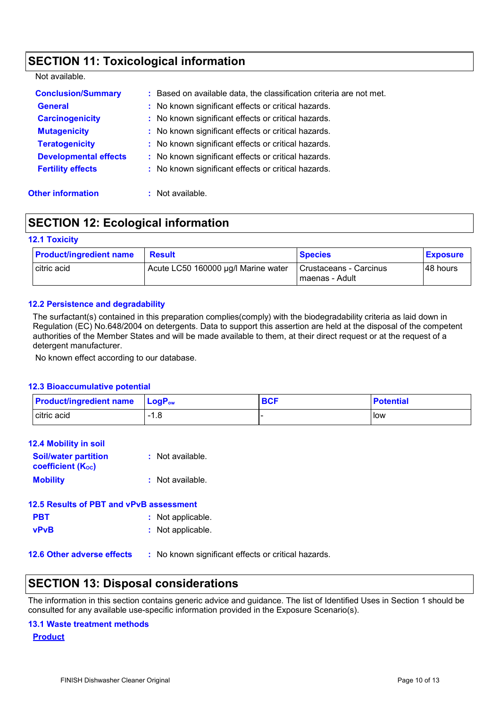## **SECTION 11: Toxicological information**

Not available.

| <b>Conclusion/Summary</b><br><b>General</b><br><b>Carcinogenicity</b><br><b>Mutagenicity</b><br><b>Teratogenicity</b> | : Based on available data, the classification criteria are not met.<br>: No known significant effects or critical hazards.<br>: No known significant effects or critical hazards.<br>: No known significant effects or critical hazards.<br>: No known significant effects or critical hazards.<br>: No known significant effects or critical hazards. |
|-----------------------------------------------------------------------------------------------------------------------|--------------------------------------------------------------------------------------------------------------------------------------------------------------------------------------------------------------------------------------------------------------------------------------------------------------------------------------------------------|
| <b>Developmental effects</b><br><b>Fertility effects</b>                                                              | : No known significant effects or critical hazards.                                                                                                                                                                                                                                                                                                    |

**Other information :** Not available.

## **SECTION 12: Ecological information**

### **12.1 Toxicity**

| <b>Product/ingredient name</b> | <b>Result</b>                       | <b>Species</b>                             | <b>Exposure</b> |
|--------------------------------|-------------------------------------|--------------------------------------------|-----------------|
| citric acid                    | Acute LC50 160000 µg/l Marine water | Crustaceans - Carcinus<br>l maenas - Adult | I48 hours       |

### **12.2 Persistence and degradability**

The surfactant(s) contained in this preparation complies(comply) with the biodegradability criteria as laid down in Regulation (EC) No.648/2004 on detergents. Data to support this assertion are held at the disposal of the competent authorities of the Member States and will be made available to them, at their direct request or at the request of a detergent manufacturer.

No known effect according to our database.

### **12.3 Bioaccumulative potential**

| <b>Product/ingredient name</b> | $\mathsf{LocP}_\mathsf{ow}$            | <b>BCF</b> | <b>Potential</b> |
|--------------------------------|----------------------------------------|------------|------------------|
| citric acid                    | 1 O<br>1.0<br>$\overline{\phantom{0}}$ |            | <b>I</b> ow      |

| <b>12.4 Mobility in soil</b>                            |                   |
|---------------------------------------------------------|-------------------|
| <b>Soil/water partition</b><br><b>coefficient (Koc)</b> | : Not available.  |
| <b>Mobility</b>                                         | : Not available.  |
| 12.5 Results of PBT and vPvB assessment                 |                   |
| <b>PBT</b>                                              | : Not applicable. |
| <b>vPvB</b>                                             | : Not applicable. |
|                                                         |                   |

**12.6 Other adverse effects** : No known significant effects or critical hazards.

### **SECTION 13: Disposal considerations**

The information in this section contains generic advice and guidance. The list of Identified Uses in Section 1 should be consulted for any available use-specific information provided in the Exposure Scenario(s).

### **13.1 Waste treatment methods**

**Product**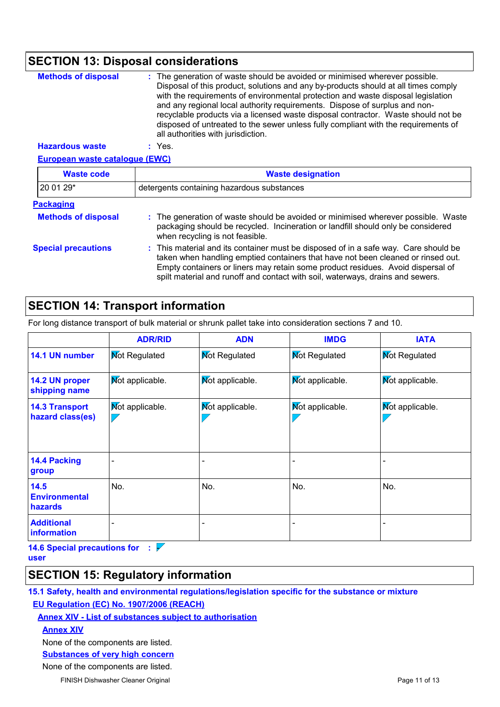## **SECTION 13: Disposal considerations**

| <b>Methods of disposal</b>            | The generation of waste should be avoided or minimised wherever possible.<br>Disposal of this product, solutions and any by-products should at all times comply<br>with the requirements of environmental protection and waste disposal legislation<br>and any regional local authority requirements. Dispose of surplus and non-<br>recyclable products via a licensed waste disposal contractor. Waste should not be<br>disposed of untreated to the sewer unless fully compliant with the requirements of<br>all authorities with jurisdiction. |  |
|---------------------------------------|----------------------------------------------------------------------------------------------------------------------------------------------------------------------------------------------------------------------------------------------------------------------------------------------------------------------------------------------------------------------------------------------------------------------------------------------------------------------------------------------------------------------------------------------------|--|
| <b>Hazardous waste</b>                | $:$ Yes.                                                                                                                                                                                                                                                                                                                                                                                                                                                                                                                                           |  |
| <b>European waste cataloque (EWC)</b> |                                                                                                                                                                                                                                                                                                                                                                                                                                                                                                                                                    |  |
| <b>Waste code</b>                     | <b>Waste designation</b>                                                                                                                                                                                                                                                                                                                                                                                                                                                                                                                           |  |
| 20 01 29*                             | detergents containing hazardous substances                                                                                                                                                                                                                                                                                                                                                                                                                                                                                                         |  |
| <b>Packaging</b>                      |                                                                                                                                                                                                                                                                                                                                                                                                                                                                                                                                                    |  |
| <b>Methods of disposal</b>            | : The generation of waste should be avoided or minimised wherever possible. Waste<br>packaging should be recycled. Incineration or landfill should only be considered<br>when recycling is not feasible.                                                                                                                                                                                                                                                                                                                                           |  |
| <b>Special precautions</b>            | : This material and its container must be disposed of in a safe way. Care should be<br>taken when handling emptied containers that have not been cleaned or rinsed out.<br>Empty containers or liners may retain some product residues. Avoid dispersal of<br>spilt material and runoff and contact with soil, waterways, drains and sewers.                                                                                                                                                                                                       |  |

## **SECTION 14: Transport information**

For long distance transport of bulk material or shrunk pallet take into consideration sections 7 and 10.

|                                           | <b>ADR/RID</b>       | <b>ADN</b>           | <b>IMDG</b>            | <b>IATA</b>            |
|-------------------------------------------|----------------------|----------------------|------------------------|------------------------|
| 14.1 UN number                            | <b>Mot Regulated</b> | <b>Not Regulated</b> | <b>Mot Regulated</b>   | <b>Not Regulated</b>   |
| 14.2 UN proper<br>shipping name           | Mot applicable.      | Mot applicable.      | <b>Not applicable.</b> | <b>Not applicable.</b> |
| <b>14.3 Transport</b><br>hazard class(es) | Mot applicable.      | Mot applicable.      | Mot applicable.        | <b>Not applicable.</b> |
| 14.4 Packing<br>group                     |                      |                      |                        |                        |
| 14.5<br><b>Environmental</b><br>hazards   | No.                  | No.                  | No.                    | No.                    |
| <b>Additional</b><br>information          |                      |                      |                        |                        |

**14.6 Special precautions for :**  $\overline{V}$ 

**user**

### **SECTION 15: Regulatory information**

**15.1 Safety, health and environmental regulations/legislation specific for the substance or mixture EU Regulation (EC) No. 1907/2006 (REACH)**

### **Annex XIV - List of substances subject to authorisation**

**Annex XIV**

None of the components are listed.

**Substances of very high concern**

None of the components are listed.

FINISH Dishwasher Cleaner Original **Page 11 of 13** Page 11 of 13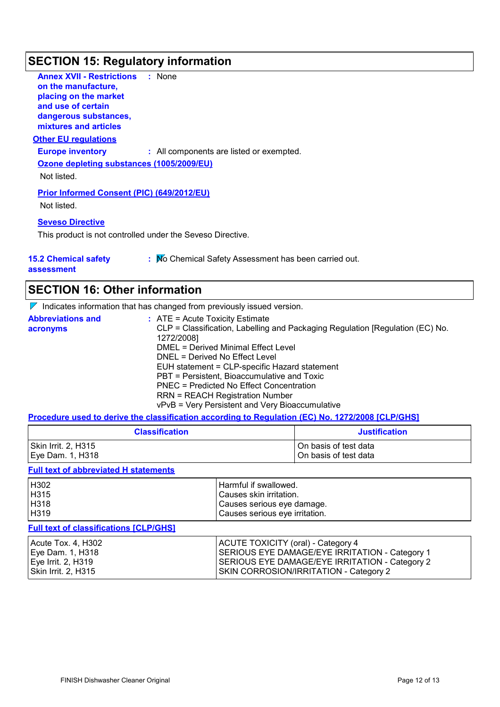## **SECTION 15: Regulatory information**

| <b>Annex XVII - Restrictions</b><br>on the manufacture,<br>placing on the market<br>and use of certain<br>dangerous substances,<br>mixtures and articles | : None                                   |
|----------------------------------------------------------------------------------------------------------------------------------------------------------|------------------------------------------|
| <b>Other EU regulations</b>                                                                                                                              |                                          |
| <b>Europe inventory</b>                                                                                                                                  | : All components are listed or exempted. |
| Ozone depleting substances (1005/2009/EU)<br>Not listed.                                                                                                 |                                          |
| <b>Prior Informed Consent (PIC) (649/2012/EU)</b><br>Not listed.                                                                                         |                                          |
| <b>Seveso Directive</b><br>This product is not controlled under the Seveso Directive.                                                                    |                                          |

**15.2 Chemical safety assessment**

| . Mo Chemical Safety Assessment has been carried out. |  |
|-------------------------------------------------------|--|
|-------------------------------------------------------|--|

**SECTION 16: Other information**

| <b>ISECTION 16: Other Information</b>                                 |
|-----------------------------------------------------------------------|
| Indicates information that has changed from previously issued version |

|                          | <u> 11 INCRES INCHINATION TRAFIAS CHANGED INCHINE DIEVIOUSLY ISSUED VERSION.</u> |
|--------------------------|----------------------------------------------------------------------------------|
| <b>Abbreviations and</b> | $\therefore$ ATE = Acute Toxicity Estimate                                       |
| acronyms                 | CLP = Classification, Labelling and Packaging Regulation [Regulation (EC) No.    |
|                          | 1272/2008]                                                                       |
|                          | DMEL = Derived Minimal Effect Level                                              |
|                          | DNEL = Derived No Effect Level                                                   |
|                          | EUH statement = CLP-specific Hazard statement                                    |
|                          | PBT = Persistent, Bioaccumulative and Toxic                                      |
|                          | PNEC = Predicted No Effect Concentration                                         |
|                          | <b>RRN = REACH Registration Number</b>                                           |
|                          | vPvB = Very Persistent and Very Bioaccumulative                                  |

**Procedure used to derive the classification according to Regulation (EC) No. 1272/2008 [CLP/GHS]**

| <b>Classification</b> | <b>Justification</b>    |
|-----------------------|-------------------------|
| Skin Irrit. 2, H315   | l On basis of test data |
| Eye Dam. 1, H318      | On basis of test data   |

### **Full text of abbreviated H statements**

| H302 | Harmful if swallowed.          |
|------|--------------------------------|
| H315 | Causes skin irritation.        |
| H318 | Causes serious eye damage.     |
| H319 | Causes serious eye irritation. |

### **Full text of classifications [CLP/GHS]**

| Acute Tox. 4, H302  | ACUTE TOXICITY (oral) - Category 4             |
|---------------------|------------------------------------------------|
| Eye Dam. 1, H318    | SERIOUS EYE DAMAGE/EYE IRRITATION - Category 1 |
| Eye Irrit. 2, H319  | SERIOUS EYE DAMAGE/EYE IRRITATION - Category 2 |
| Skin Irrit. 2, H315 | <b>SKIN CORROSION/IRRITATION - Category 2</b>  |